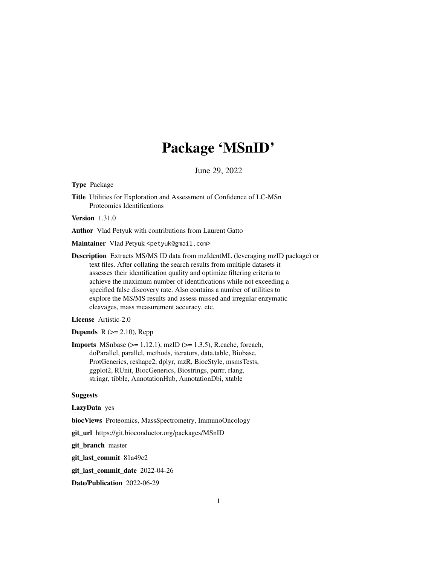# Package 'MSnID'

June 29, 2022

<span id="page-0-0"></span>Type Package

Title Utilities for Exploration and Assessment of Confidence of LC-MSn Proteomics Identifications

Version 1.31.0

Author Vlad Petyuk with contributions from Laurent Gatto

Maintainer Vlad Petyuk <petyuk@gmail.com>

Description Extracts MS/MS ID data from mzIdentML (leveraging mzID package) or text files. After collating the search results from multiple datasets it assesses their identification quality and optimize filtering criteria to achieve the maximum number of identifications while not exceeding a specified false discovery rate. Also contains a number of utilities to explore the MS/MS results and assess missed and irregular enzymatic cleavages, mass measurement accuracy, etc.

License Artistic-2.0

**Depends**  $R$  ( $>= 2.10$ ), Rcpp

**Imports** MSnbase  $(>= 1.12.1)$ , mzID  $(>= 1.3.5)$ , R.cache, foreach, doParallel, parallel, methods, iterators, data.table, Biobase, ProtGenerics, reshape2, dplyr, mzR, BiocStyle, msmsTests, ggplot2, RUnit, BiocGenerics, Biostrings, purrr, rlang, stringr, tibble, AnnotationHub, AnnotationDbi, xtable

#### Suggests

#### LazyData yes

biocViews Proteomics, MassSpectrometry, ImmunoOncology

git\_url https://git.bioconductor.org/packages/MSnID

git\_branch master

git\_last\_commit 81a49c2

git\_last\_commit\_date 2022-04-26

Date/Publication 2022-06-29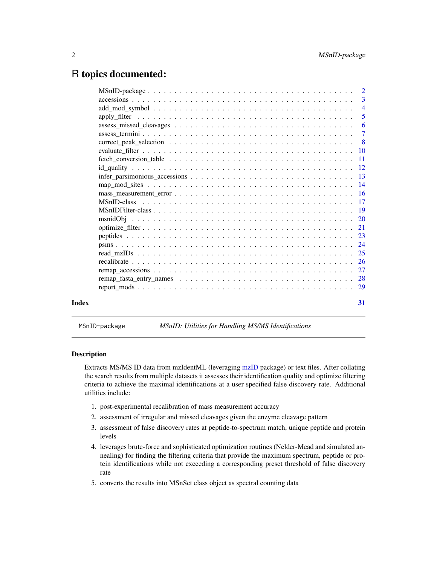# <span id="page-1-0"></span>R topics documented:

| Index | 31 |
|-------|----|
|       |    |

MSnID-package *MSnID: Utilities for Handling MS/MS Identifications*

# Description

Extracts MS/MS ID data from mzIdentML (leveraging [mzID](#page-0-0) package) or text files. After collating the search results from multiple datasets it assesses their identification quality and optimize filtering criteria to achieve the maximal identifications at a user specified false discovery rate. Additional utilities include:

- 1. post-experimental recalibration of mass measurement accuracy
- 2. assessment of irregular and missed cleavages given the enzyme cleavage pattern
- 3. assessment of false discovery rates at peptide-to-spectrum match, unique peptide and protein levels
- 4. leverages brute-force and sophisticated optimization routines (Nelder-Mead and simulated annealing) for finding the filtering criteria that provide the maximum spectrum, peptide or protein identifications while not exceeding a corresponding preset threshold of false discovery rate
- 5. converts the results into MSnSet class object as spectral counting data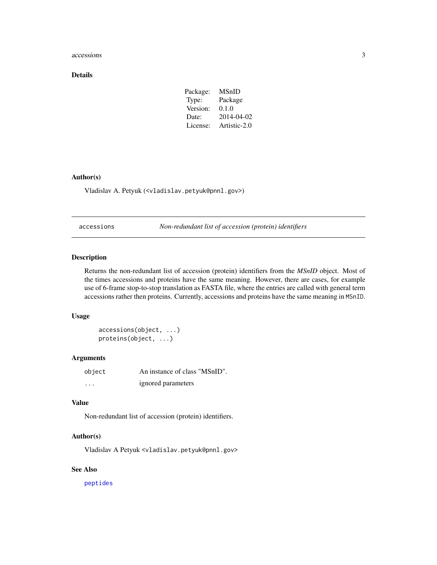#### <span id="page-2-0"></span>accessions 3

#### Details

| Package: | MSnID        |
|----------|--------------|
| Type:    | Package      |
| Version: | 0.1.0        |
| Date:    | 2014-04-02   |
| License: | Artistic-2.0 |

# Author(s)

Vladislav A. Petyuk (<vladislav.petyuk@pnnl.gov>)

<span id="page-2-1"></span>accessions *Non-redundant list of accession (protein) identifiers*

# <span id="page-2-2"></span>Description

Returns the non-redundant list of accession (protein) identifiers from the *MSnID* object. Most of the times accessions and proteins have the same meaning. However, there are cases, for example use of 6-frame stop-to-stop translation as FASTA file, where the entries are called with general term accessions rather then proteins. Currently, accessions and proteins have the same meaning in MSnID.

#### Usage

```
accessions(object, ...)
proteins(object, ...)
```
#### Arguments

| object   | An instance of class "MSnID". |
|----------|-------------------------------|
| $\cdots$ | ignored parameters            |

#### Value

Non-redundant list of accession (protein) identifiers.

#### Author(s)

Vladislav A Petyuk <vladislav.petyuk@pnnl.gov>

# See Also

[peptides](#page-22-1)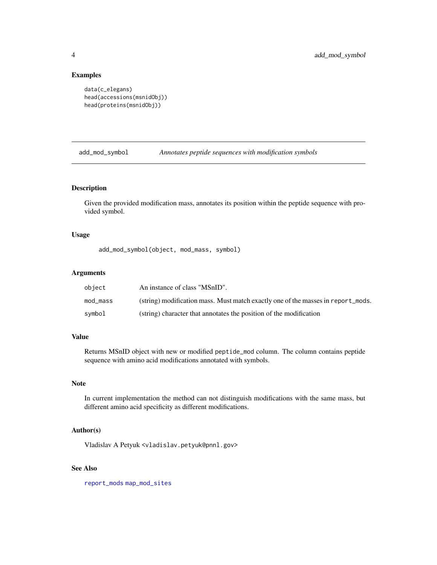# <span id="page-3-0"></span>Examples

```
data(c_elegans)
head(accessions(msnidObj))
head(proteins(msnidObj))
```
<span id="page-3-1"></span>add\_mod\_symbol *Annotates peptide sequences with modification symbols*

# Description

Given the provided modification mass, annotates its position within the peptide sequence with provided symbol.

# Usage

add\_mod\_symbol(object, mod\_mass, symbol)

#### Arguments

| object   | An instance of class "MSnID".                                                    |
|----------|----------------------------------------------------------------------------------|
| mod_mass | (string) modification mass. Must match exactly one of the masses in report_mods. |
| symbol   | (string) character that annotates the position of the modification               |

# Value

Returns MSnID object with new or modified peptide\_mod column. The column contains peptide sequence with amino acid modifications annotated with symbols.

#### Note

In current implementation the method can not distinguish modifications with the same mass, but different amino acid specificity as different modifications.

# Author(s)

Vladislav A Petyuk <vladislav.petyuk@pnnl.gov>

# See Also

[report\\_mods](#page-28-1) [map\\_mod\\_sites](#page-13-1)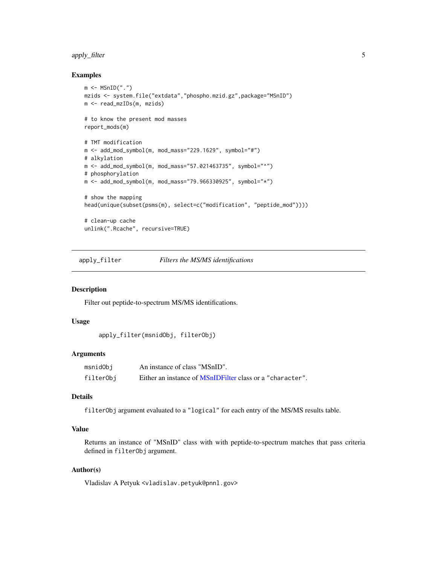# <span id="page-4-0"></span>apply\_filter 5

# Examples

```
m \leftarrow MSnID("."')mzids <- system.file("extdata","phospho.mzid.gz",package="MSnID")
m <- read_mzIDs(m, mzids)
# to know the present mod masses
report_mods(m)
# TMT modification
m \le - add_mod_symbol(m, mod_mass="229.1629", symbol="#")
# alkylation
m \le - add_mod_symbol(m, mod_mass="57.021463735", symbol="^")
# phosphorylation
m <- add_mod_symbol(m, mod_mass="79.966330925", symbol="*")
# show the mapping
head(unique(subset(psms(m), select=c("modification", "peptide_mod"))))
# clean-up cache
unlink(".Rcache", recursive=TRUE)
```
<span id="page-4-1"></span>apply\_filter *Filters the MS/MS identifications*

#### Description

Filter out peptide-to-spectrum MS/MS identifications.

# Usage

```
apply_filter(msnidObj, filterObj)
```
#### Arguments

| msnidObj  | An instance of class "MSnID".                             |
|-----------|-----------------------------------------------------------|
| filterObj | Either an instance of MSnIDFilter class or a "character". |

# Details

filterObj argument evaluated to a "logical" for each entry of the MS/MS results table.

# Value

Returns an instance of "MSnID" class with with peptide-to-spectrum matches that pass criteria defined in filterObj argument.

# Author(s)

Vladislav A Petyuk <vladislav.petyuk@pnnl.gov>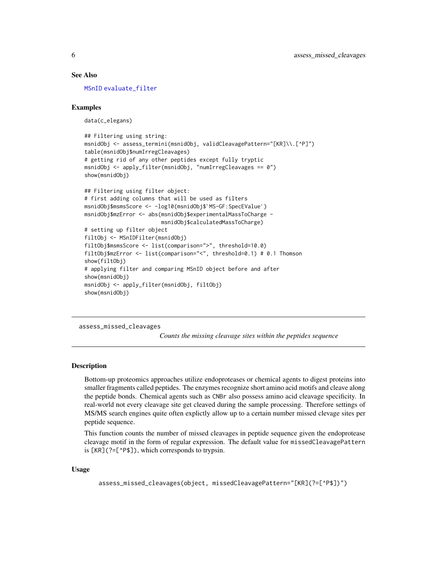#### <span id="page-5-0"></span>See Also

[MSnID](#page-16-1) [evaluate\\_filter](#page-9-1)

#### Examples

```
data(c_elegans)
```

```
## Filtering using string:
msnidObj <- assess_termini(msnidObj, validCleavagePattern="[KR]\\.[^P]")
table(msnidObj$numIrregCleavages)
# getting rid of any other peptides except fully tryptic
msnidObj <- apply_filter(msnidObj, "numIrregCleavages == 0")
show(msnidObj)
```

```
## Filtering using filter object:
# first adding columns that will be used as filters
msnidObj$msmsScore <- -log10(msnidObj$`MS-GF:SpecEValue`)
msnidObj$mzError <- abs(msnidObj$experimentalMassToCharge -
                        msnidObj$calculatedMassToCharge)
# setting up filter object
filtObj <- MSnIDFilter(msnidObj)
filtObj$msmsScore <- list(comparison=">", threshold=10.0)
filtObj$mzError <- list(comparison="<", threshold=0.1) # 0.1 Thomson
show(filtObj)
# applying filter and comparing MSnID object before and after
show(msnidObj)
msnidObj <- apply_filter(msnidObj, filtObj)
show(msnidObj)
```

```
assess_missed_cleavages
```
*Counts the missing cleavage sites within the peptides sequence*

# **Description**

Bottom-up proteomics approaches utilize endoproteases or chemical agents to digest proteins into smaller fragments called peptides. The enzymes recognize short amino acid motifs and cleave along the peptide bonds. Chemical agents such as CNBr also possess amino acid cleavage specificity. In real-world not every cleavage site get cleaved during the sample processing. Therefore settings of MS/MS search engines quite often explictly allow up to a certain number missed clevage sites per peptide sequence.

This function counts the number of missed cleavages in peptide sequence given the endoprotease cleavage motif in the form of regular expression. The default value for missedCleavagePattern is [KR](?=[^P\$]), which corresponds to trypsin.

#### Usage

```
assess_missed_cleavages(object, missedCleavagePattern="[KR](?=[^P$])")
```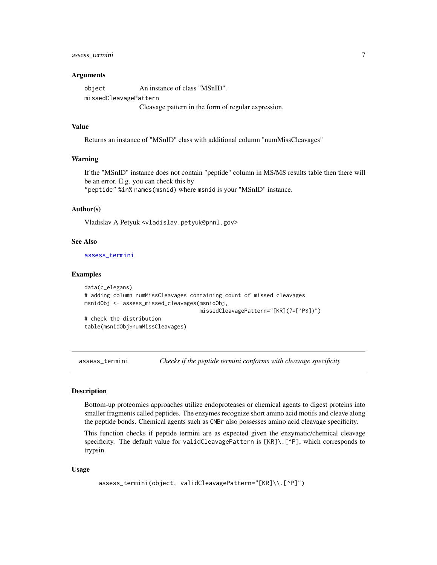# <span id="page-6-0"></span>assess\_termini 7

#### Arguments

object An instance of class "MSnID". missedCleavagePattern Cleavage pattern in the form of regular expression.

#### Value

Returns an instance of "MSnID" class with additional column "numMissCleavages"

#### Warning

If the "MSnID" instance does not contain "peptide" column in MS/MS results table then there will be an error. E.g. you can check this by "peptide" %in% names(msnid) where msnid is your "MSnID" instance.

#### Author(s)

Vladislav A Petyuk <vladislav.petyuk@pnnl.gov>

#### See Also

[assess\\_termini](#page-6-1)

#### Examples

```
data(c_elegans)
# adding column numMissCleavages containing count of missed cleavages
msnidObj <- assess_missed_cleavages(msnidObj,
                                    missedCleavagePattern="[KR](?=[^P$])")
# check the distribution
table(msnidObj$numMissCleavages)
```
<span id="page-6-1"></span>assess\_termini *Checks if the peptide termini conforms with cleavage specificity*

#### Description

Bottom-up proteomics approaches utilize endoproteases or chemical agents to digest proteins into smaller fragments called peptides. The enzymes recognize short amino acid motifs and cleave along the peptide bonds. Chemical agents such as CNBr also possesses amino acid cleavage specificity.

This function checks if peptide termini are as expected given the enzymatic/chemical cleavage specificity. The default value for validCleavagePattern is [KR]\.[^P], which corresponds to trypsin.

#### Usage

```
assess_termini(object, validCleavagePattern="[KR]\\.[^P]")
```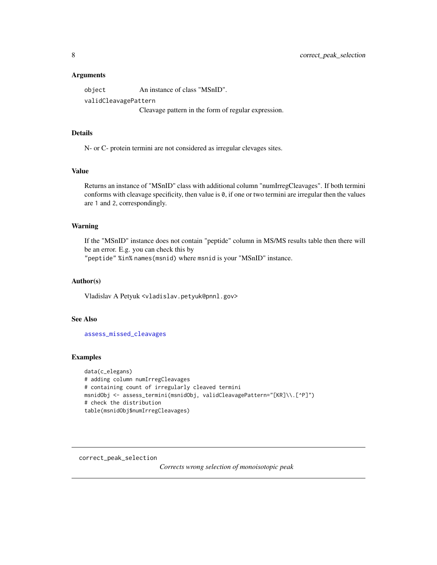#### <span id="page-7-0"></span>Arguments

object An instance of class "MSnID".

validCleavagePattern

Cleavage pattern in the form of regular expression.

# Details

N- or C- protein termini are not considered as irregular clevages sites.

#### Value

Returns an instance of "MSnID" class with additional column "numIrregCleavages". If both termini conforms with cleavage specificity, then value is 0, if one or two termini are irregular then the values are 1 and 2, correspondingly.

#### Warning

If the "MSnID" instance does not contain "peptide" column in MS/MS results table then there will be an error. E.g. you can check this by "peptide" %in% names(msnid) where msnid is your "MSnID" instance.

#### Author(s)

Vladislav A Petyuk <vladislav.petyuk@pnnl.gov>

# See Also

[assess\\_missed\\_cleavages](#page-5-1)

# Examples

```
data(c_elegans)
# adding column numIrregCleavages
# containing count of irregularly cleaved termini
msnidObj <- assess_termini(msnidObj, validCleavagePattern="[KR]\\.[^P]")
# check the distribution
table(msnidObj$numIrregCleavages)
```
<span id="page-7-1"></span>correct\_peak\_selection

*Corrects wrong selection of monoisotopic peak*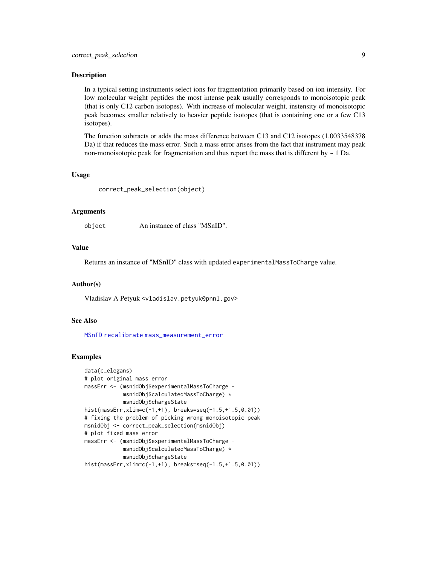#### <span id="page-8-0"></span>Description

In a typical setting instruments select ions for fragmentation primarily based on ion intensity. For low molecular weight peptides the most intense peak usually corresponds to monoisotopic peak (that is only C12 carbon isotopes). With increase of molecular weight, instensity of monoisotopic peak becomes smaller relatively to heavier peptide isotopes (that is containing one or a few C13 isotopes).

The function subtracts or adds the mass difference between C13 and C12 isotopes (1.0033548378 Da) if that reduces the mass error. Such a mass error arises from the fact that instrument may peak non-monoisotopic peak for fragmentation and thus report the mass that is different by  $\sim 1$  Da.

#### Usage

correct\_peak\_selection(object)

#### **Arguments**

object An instance of class "MSnID".

### Value

Returns an instance of "MSnID" class with updated experimentalMassToCharge value.

#### Author(s)

Vladislav A Petyuk <vladislav.petyuk@pnnl.gov>

#### See Also

[MSnID](#page-16-1) [recalibrate](#page-25-1) [mass\\_measurement\\_error](#page-15-1)

```
data(c_elegans)
# plot original mass error
massErr <- (msnidObj$experimentalMassToCharge -
            msnidObj$calculatedMassToCharge) *
            msnidObj$chargeState
hist(massErr,xlim=c(-1,+1), breaks=seq(-1.5,+1.5,0.01))
# fixing the problem of picking wrong monoisotopic peak
msnidObj <- correct_peak_selection(msnidObj)
# plot fixed mass error
massErr <- (msnidObj$experimentalMassToCharge -
            msnidObj$calculatedMassToCharge) *
            msnidObj$chargeState
hist(massErr,xlim=c(-1,+1), breaks=seq(-1.5,+1.5,0.01))
```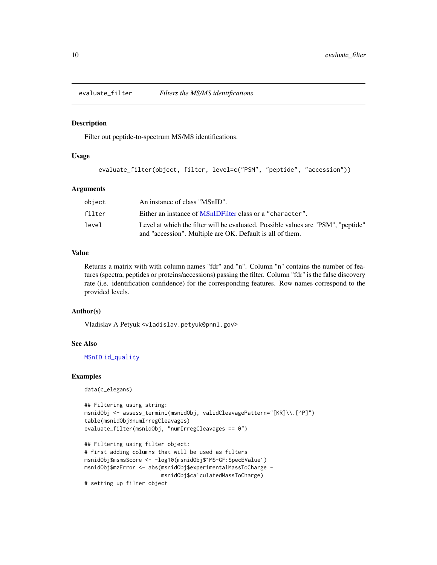<span id="page-9-1"></span><span id="page-9-0"></span>

#### Description

Filter out peptide-to-spectrum MS/MS identifications.

#### Usage

```
evaluate_filter(object, filter, level=c("PSM", "peptide", "accession"))
```
# Arguments

| object | An instance of class "MSnID".                                                                                                                  |
|--------|------------------------------------------------------------------------------------------------------------------------------------------------|
| filter | Either an instance of MSnIDFilter class or a "character".                                                                                      |
| level  | Level at which the filter will be evaluated. Possible values are "PSM", "peptide"<br>and "accession". Multiple are OK. Default is all of them. |

# Value

Returns a matrix with with column names "fdr" and "n". Column "n" contains the number of features (spectra, peptides or proteins/accessions) passing the filter. Column "fdr" is the false discovery rate (i.e. identification confidence) for the corresponding features. Row names correspond to the provided levels.

#### Author(s)

Vladislav A Petyuk <vladislav.petyuk@pnnl.gov>

### See Also

[MSnID](#page-16-1) [id\\_quality](#page-11-1)

#### Examples

data(c\_elegans)

```
## Filtering using string:
msnidObj <- assess_termini(msnidObj, validCleavagePattern="[KR]\\.[^P]")
table(msnidObj$numIrregCleavages)
evaluate_filter(msnidObj, "numIrregCleavages == 0")
```

```
## Filtering using filter object:
# first adding columns that will be used as filters
msnidObj$msmsScore <- -log10(msnidObj$`MS-GF:SpecEValue`)
msnidObj$mzError <- abs(msnidObj$experimentalMassToCharge -
                        msnidObj$calculatedMassToCharge)
```
# setting up filter object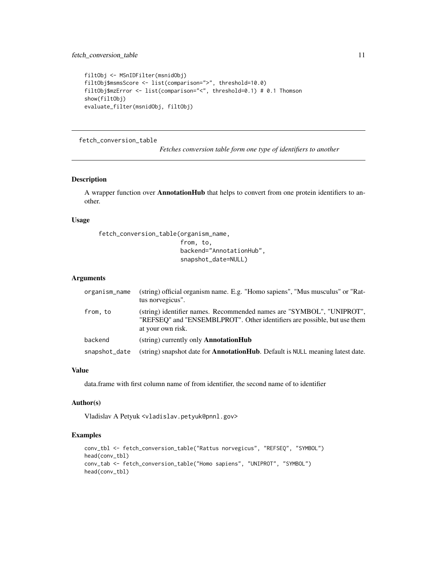```
filtObj <- MSnIDFilter(msnidObj)
filtObj$msmsScore <- list(comparison=">", threshold=10.0)
filtObj$mzError <- list(comparison="<", threshold=0.1) # 0.1 Thomson
show(filtObj)
evaluate_filter(msnidObj, filtObj)
```
fetch\_conversion\_table

*Fetches conversion table form one type of identifiers to another*

#### Description

A wrapper function over AnnotationHub that helps to convert from one protein identifiers to another.

#### Usage

fetch\_conversion\_table(organism\_name, from, to, backend="AnnotationHub", snapshot\_date=NULL)

# Arguments

| organism_name | (string) official organism name. E.g. "Homo sapiens", "Mus musculus" or "Rat-<br>tus norvegicus".                                                                      |
|---------------|------------------------------------------------------------------------------------------------------------------------------------------------------------------------|
| from, to      | (string) identifier names. Recommended names are "SYMBOL", "UNIPROT",<br>"REFSEQ" and "ENSEMBLPROT". Other identifiers are possible, but use them<br>at your own risk. |
| backend       | (string) currently only <b>AnnotationHub</b>                                                                                                                           |
| snapshot_date | (string) snapshot date for <b>AnnotationHub</b> . Default is NULL meaning latest date.                                                                                 |

#### Value

data.frame with first column name of from identifier, the second name of to identifier

#### Author(s)

Vladislav A Petyuk <vladislav.petyuk@pnnl.gov>

```
conv_tbl <- fetch_conversion_table("Rattus norvegicus", "REFSEQ", "SYMBOL")
head(conv_tbl)
conv_tab <- fetch_conversion_table("Homo sapiens", "UNIPROT", "SYMBOL")
head(conv_tbl)
```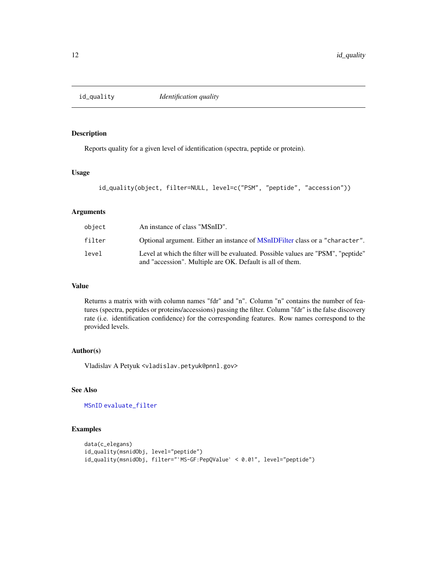<span id="page-11-1"></span><span id="page-11-0"></span>

# Description

Reports quality for a given level of identification (spectra, peptide or protein).

# Usage

```
id_quality(object, filter=NULL, level=c("PSM", "peptide", "accession"))
```
# Arguments

| object | An instance of class "MSnID".                                                                                                                  |
|--------|------------------------------------------------------------------------------------------------------------------------------------------------|
| filter | Optional argument. Either an instance of MSnIDFilter class or a "character".                                                                   |
| level  | Level at which the filter will be evaluated. Possible values are "PSM", "peptide"<br>and "accession". Multiple are OK. Default is all of them. |

# Value

Returns a matrix with with column names "fdr" and "n". Column "n" contains the number of features (spectra, peptides or proteins/accessions) passing the filter. Column "fdr" is the false discovery rate (i.e. identification confidence) for the corresponding features. Row names correspond to the provided levels.

# Author(s)

Vladislav A Petyuk <vladislav.petyuk@pnnl.gov>

# See Also

[MSnID](#page-16-1) [evaluate\\_filter](#page-9-1)

```
data(c_elegans)
id_quality(msnidObj, level="peptide")
id_quality(msnidObj, filter="`MS-GF:PepQValue` < 0.01", level="peptide")
```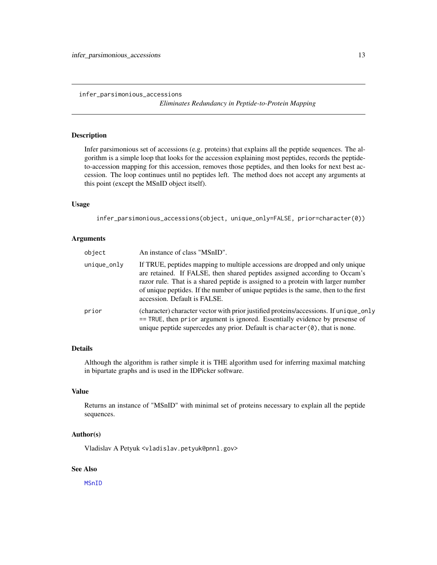*Eliminates Redundancy in Peptide-to-Protein Mapping*

# <span id="page-12-0"></span>Description

Infer parsimonious set of accessions (e.g. proteins) that explains all the peptide sequences. The algorithm is a simple loop that looks for the accession explaining most peptides, records the peptideto-accession mapping for this accession, removes those peptides, and then looks for next best accession. The loop continues until no peptides left. The method does not accept any arguments at this point (except the MSnID object itself).

# Usage

infer\_parsimonious\_accessions(object, unique\_only=FALSE, prior=character(0))

#### Arguments

| object        | An instance of class "MSnID".                                                                                                                                                                                                                                                                                                                                         |
|---------------|-----------------------------------------------------------------------------------------------------------------------------------------------------------------------------------------------------------------------------------------------------------------------------------------------------------------------------------------------------------------------|
| $unique_only$ | If TRUE, peptides mapping to multiple accessions are dropped and only unique<br>are retained. If FALSE, then shared peptides assigned according to Occam's<br>razor rule. That is a shared peptide is assigned to a protein with larger number<br>of unique peptides. If the number of unique peptides is the same, then to the first<br>accession. Default is FALSE. |
| prior         | (character) character vector with prior justified proteins/accessions. If unique_only<br>$==$ TRUE, then prior argument is ignored. Essentially evidence by presense of<br>unique peptide supercedes any prior. Default is character $(0)$ , that is none.                                                                                                            |

# Details

Although the algorithm is rather simple it is THE algorithm used for inferring maximal matching in bipartate graphs and is used in the IDPicker software.

#### Value

Returns an instance of "MSnID" with minimal set of proteins necessary to explain all the peptide sequences.

#### Author(s)

Vladislav A Petyuk <vladislav.petyuk@pnnl.gov>

# See Also

[MSnID](#page-16-1)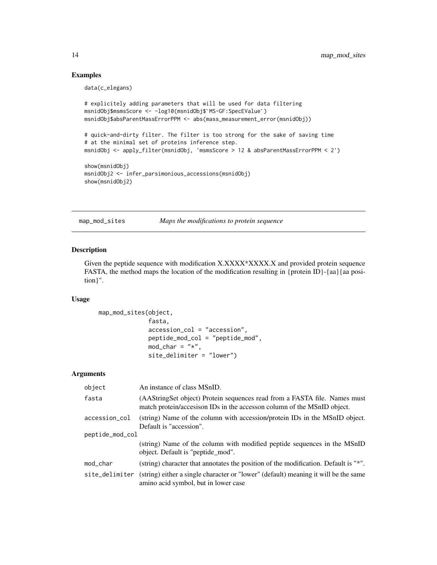# Examples

data(c\_elegans)

```
# explicitely adding parameters that will be used for data filtering
msnidObj$msmsScore <- -log10(msnidObj$`MS-GF:SpecEValue`)
msnidObj$absParentMassErrorPPM <- abs(mass_measurement_error(msnidObj))
# quick-and-dirty filter. The filter is too strong for the sake of saving time
# at the minimal set of proteins inference step.
msnidObj <- apply_filter(msnidObj, 'msmsScore > 12 & absParentMassErrorPPM < 2')
show(msnidObj)
msnidObj2 <- infer_parsimonious_accessions(msnidObj)
show(msnidObj2)
```
<span id="page-13-1"></span>map\_mod\_sites *Maps the modifications to protein sequence*

# Description

Given the peptide sequence with modification X.XXXX\*XXX.X and provided protein sequence FASTA, the method maps the location of the modification resulting in {protein ID}-{aa}{aa position}".

#### Usage

```
map_mod_sites(object,
              fasta,
              accession_col = "accession",
              peptide_mod_col = "peptide_mod",
              mod\_char = "*",site_delimiter = "lower")
```
#### Arguments

| object          | An instance of class MSnID.                                                                                                                          |
|-----------------|------------------------------------------------------------------------------------------------------------------------------------------------------|
| fasta           | (AAStringSet object) Protein sequences read from a FASTA file. Names must<br>match protein/accession IDs in the accesson column of the MSnID object. |
| accession_col   | (string) Name of the column with accession/protein IDs in the MSnID object.<br>Default is "accession".                                               |
| peptide_mod_col |                                                                                                                                                      |
|                 | (string) Name of the column with modified peptide sequences in the MSnID<br>object. Default is "peptide_mod".                                        |
| mod_char        | (string) character that annotates the position of the modification. Default is "*".                                                                  |
| site_delimiter  | (string) either a single character or "lower" (default) meaning it will be the same<br>amino acid symbol, but in lower case                          |

<span id="page-13-0"></span>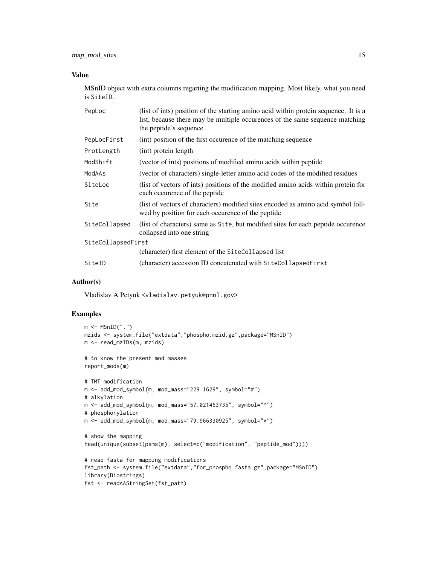# Value

MSnID object with extra columns regarting the modification mapping. Most likely, what you need is SiteID.

| PepLoc             | (list of ints) position of the starting amino acid within protein sequence. It is a<br>list, because there may be multiple occurences of the same sequence matching<br>the peptide's sequence. |  |
|--------------------|------------------------------------------------------------------------------------------------------------------------------------------------------------------------------------------------|--|
| PepLocFirst        | (int) position of the first occurence of the matching sequence                                                                                                                                 |  |
| ProtLength         | (int) protein length                                                                                                                                                                           |  |
| ModShift           | (vector of ints) positions of modified amino acids within peptide                                                                                                                              |  |
| ModAAs             | (vector of characters) single-letter amino acid codes of the modified residues                                                                                                                 |  |
| SiteLoc            | (list of vectors of ints) positions of the modified amino acids within protein for<br>each occurence of the peptide                                                                            |  |
| Site               | (list of vectors of characters) modified sites encoded as amino acid symbol foll-<br>wed by position for each occurence of the peptide                                                         |  |
| SiteCollapsed      | (list of characters) same as Site, but modified sites for each peptide occurence<br>collapsed into one string                                                                                  |  |
| SiteCollapsedFirst |                                                                                                                                                                                                |  |
|                    | (character) first element of the SiteCollapsed list                                                                                                                                            |  |
| SiteID             | (character) accession ID concatenated with SiteCollapsedFirst                                                                                                                                  |  |

# Author(s)

Vladislav A Petyuk <vladislav.petyuk@pnnl.gov>

```
m \leftarrow MSnID("."')mzids <- system.file("extdata","phospho.mzid.gz",package="MSnID")
m <- read_mzIDs(m, mzids)
# to know the present mod masses
report_mods(m)
# TMT modification
m \le - add_mod_symbol(m, mod_mass="229.1629", symbol="#")
# alkylation
m \le - add_mod_symbol(m, mod_mass="57.021463735", symbol="^")
# phosphorylation
m \leq - \text{add\_mod\_symbol(m, mod\_mass='79.966330925", symbol='*")}# show the mapping
head(unique(subset(psms(m), select=c("modification", "peptide_mod"))))
# read fasta for mapping modifications
fst_path <- system.file("extdata","for_phospho.fasta.gz",package="MSnID")
library(Biostrings)
fst <- readAAStringSet(fst_path)
```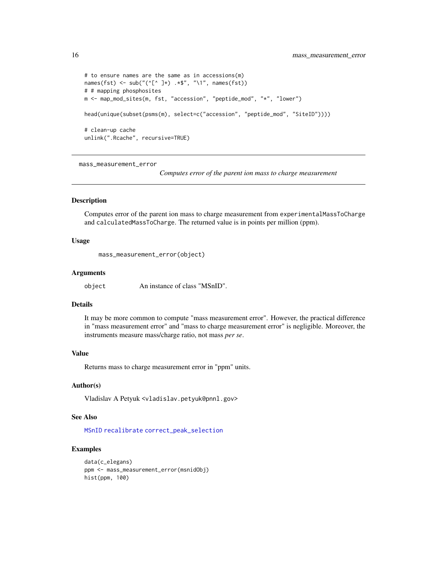```
# to ensure names are the same as in accessions(m)
names(fst) <- sub("(^{\wedge}[^{\wedge}]^{\star}) .*$", "\1", names(fst))
# # mapping phosphosites
m <- map_mod_sites(m, fst, "accession", "peptide_mod", "*", "lower")
head(unique(subset(psms(m), select=c("accession", "peptide_mod", "SiteID"))))
# clean-up cache
unlink(".Rcache", recursive=TRUE)
```
<span id="page-15-1"></span>mass\_measurement\_error

*Computes error of the parent ion mass to charge measurement*

# Description

Computes error of the parent ion mass to charge measurement from experimentalMassToCharge and calculatedMassToCharge. The returned value is in points per million (ppm).

#### Usage

```
mass_measurement_error(object)
```
#### Arguments

|  | object | An instance of class "MSnID". |  |  |
|--|--------|-------------------------------|--|--|
|--|--------|-------------------------------|--|--|

#### Details

It may be more common to compute "mass measurement error". However, the practical difference in "mass measurement error" and "mass to charge measurement error" is negligible. Moreover, the instruments measure mass/charge ratio, not mass *per se*.

### Value

Returns mass to charge measurement error in "ppm" units.

# Author(s)

Vladislav A Petyuk <vladislav.petyuk@pnnl.gov>

# See Also

[MSnID](#page-16-1) [recalibrate](#page-25-1) [correct\\_peak\\_selection](#page-7-1)

```
data(c_elegans)
ppm <- mass_measurement_error(msnidObj)
hist(ppm, 100)
```
<span id="page-15-0"></span>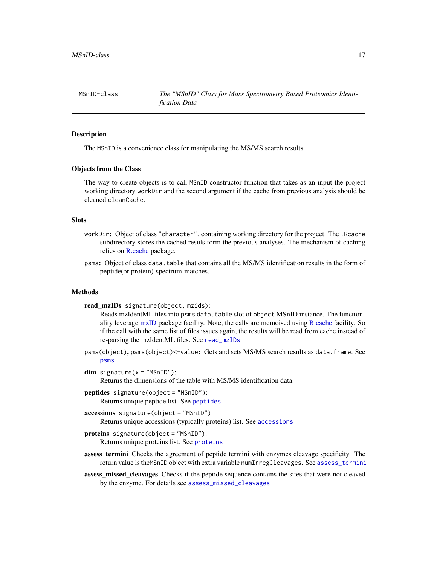<span id="page-16-0"></span>MSnID-class *The "MSnID" Class for Mass Spectrometry Based Proteomics Identification Data*

#### <span id="page-16-1"></span>**Description**

The MSnID is a convenience class for manipulating the MS/MS search results.

#### Objects from the Class

The way to create objects is to call MSnID constructor function that takes as an input the project working directory workDir and the second argument if the cache from previous analysis should be cleaned cleanCache.

#### Slots

- workDir: Object of class "character". containing working directory for the project. The .Rcache subdirectory stores the cached resuls form the previous analyses. The mechanism of caching relies on [R.cache](#page-0-0) package.
- psms: Object of class data.table that contains all the MS/MS identification results in the form of peptide(or protein)-spectrum-matches.

#### Methods

```
read_mzIDs signature(object, mzids):
```
Reads mzIdentML files into psms data.table slot of object MSnID instance. The functionality leverage [mzID](#page-0-0) package facility. Note, the calls are memoised using [R.cache](#page-0-0) facility. So if the call with the same list of files issues again, the results will be read from cache instead of re-parsing the mzIdentML files. See [read\\_mzIDs](#page-24-1)

psms(object), psms(object)<-value: Gets and sets MS/MS search results as data.frame. See [psms](#page-23-1)

```
dim signature(x = "MSnID"):
```
Returns the dimensions of the table with MS/MS identification data.

- peptides signature(object = "MSnID"): Returns unique peptide list. See [peptides](#page-22-1)
- accessions signature(object = "MSnID"): Returns unique accessions (typically proteins) list. See [accessions](#page-2-1)
- proteins signature(object = "MSnID"): Returns unique proteins list. See [proteins](#page-2-2)
- assess\_termini Checks the agreement of peptide termini with enzymes cleavage specificity. The return value is theMSnID object with extra variable numIrregCleavages. See [assess\\_termini](#page-6-1)
- assess\_missed\_cleavages Checks if the peptide sequence contains the sites that were not cleaved by the enzyme. For details see [assess\\_missed\\_cleavages](#page-5-1)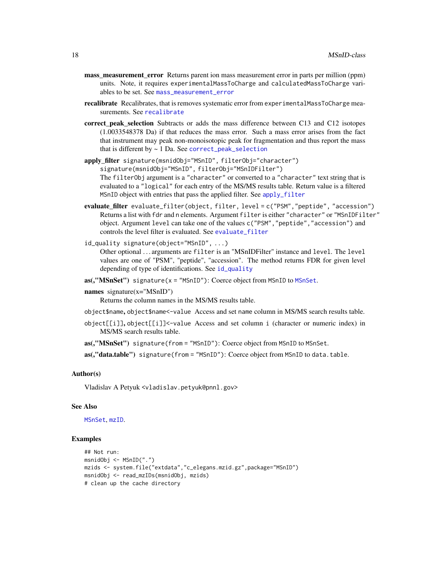- <span id="page-17-0"></span>mass\_measurement\_error Returns parent ion mass measurement error in parts per million (ppm) units. Note, it requires experimentalMassToCharge and calculatedMassToCharge variables to be set. See [mass\\_measurement\\_error](#page-15-1)
- recalibrate Recalibrates, that is removes systematic error from experimentalMassToCharge measurements. See [recalibrate](#page-25-1)
- correct peak selection Subtracts or adds the mass difference between C13 and C12 isotopes (1.0033548378 Da) if that reduces the mass error. Such a mass error arises from the fact that instrument may peak non-monoisotopic peak for fragmentation and thus report the mass that is different by ~ 1 Da. See [correct\\_peak\\_selection](#page-7-1)
- apply\_filter signature(msnidObj="MSnID", filterObj="character") signature(msnidObj="MSnID", filterObj="MSnIDFilter") The filterObj argument is a "character" or converted to a "character" text string that is evaluated to a "logical" for each entry of the MS/MS results table. Return value is a filtered MSnID object with entries that pass the applied filter. See [apply\\_filter](#page-4-1)
- evaluate\_filter evaluate\_filter(object, filter, level = c("PSM","peptide", "accession") Returns a list with fdr and n elements. Argument filter is either "character" or "MSnIDFilter" object. Argument level can take one of the values c("PSM","peptide","accession") and controls the level filter is evaluated. See [evaluate\\_filter](#page-9-1)
- id\_quality signature(object="MSnID", ...) Other optional . . . arguments are filter is an "MSnIDFilter" instance and level. The level values are one of "PSM", "peptide", "accession". The method returns FDR for given level depending of type of identifications. See [id\\_quality](#page-11-1)
- as(,"[MSnSet](#page-0-0)") signature(x = "MSnID"): Coerce object from MSnID to MSnSet.
- names signature(x="MSnID") Returns the column names in the MS/MS results table.
- object\$name, object\$name<-value Access and set name column in MS/MS search results table.
- object[[i]], object[[i]]<-value Access and set column i (character or numeric index) in MS/MS search results table.
- as(,"MSnSet") signature(from = "MSnID"): Coerce object from MSnID to MSnSet.
- as(,"data.table") signature(from = "MSnID"): Coerce object from MSnID to data.table.

#### Author(s)

Vladislav A Petyuk <vladislav.petyuk@pnnl.gov>

#### See Also

[MSnSet](#page-0-0), [mzID](#page-0-0).

```
## Not run:
msnidObj <- MSnID(".")
mzids <- system.file("extdata","c_elegans.mzid.gz",package="MSnID")
msnidObj <- read_mzIDs(msnidObj, mzids)
# clean up the cache directory
```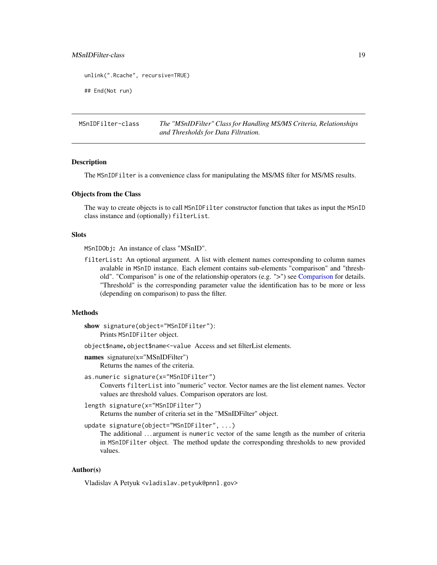# <span id="page-18-0"></span>MSnIDFilter-class 19

unlink(".Rcache", recursive=TRUE)

## End(Not run)

MSnIDFilter-class *The "MSnIDFilter" Class for Handling MS/MS Criteria, Relationships and Thresholds for Data Filtration.*

#### <span id="page-18-1"></span>**Description**

The MSnIDFilter is a convenience class for manipulating the MS/MS filter for MS/MS results.

#### Objects from the Class

The way to create objects is to call MSnIDFilter constructor function that takes as input the MSnID class instance and (optionally) filterList.

#### Slots

MSnIDObj: An instance of class "MSnID".

filterList: An optional argument. A list with element names corresponding to column names avalable in MSnID instance. Each element contains sub-elements "comparison" and "threshold". "Comparison" is one of the relationship operators (e.g. ">") see [Comparison](#page-0-0) for details. "Threshold" is the corresponding parameter value the identification has to be more or less (depending on comparison) to pass the filter.

#### Methods

show signature(object="MSnIDFilter"): Prints MSnIDFilter object.

object\$name, object\$name<-value Access and set filterList elements.

- names signature(x="MSnIDFilter") Returns the names of the criteria.
- as.numeric signature(x="MSnIDFilter") Converts filterList into "numeric" vector. Vector names are the list element names. Vector values are threshold values. Comparison operators are lost.

```
length signature(x="MSnIDFilter")
```
Returns the number of criteria set in the "MSnIDFilter" object.

```
update signature(object="MSnIDFilter", ...)
```
The additional . . . argument is numeric vector of the same length as the number of criteria in MSnIDFilter object. The method update the corresponding thresholds to new provided values.

# Author(s)

Vladislav A Petyuk <vladislav.petyuk@pnnl.gov>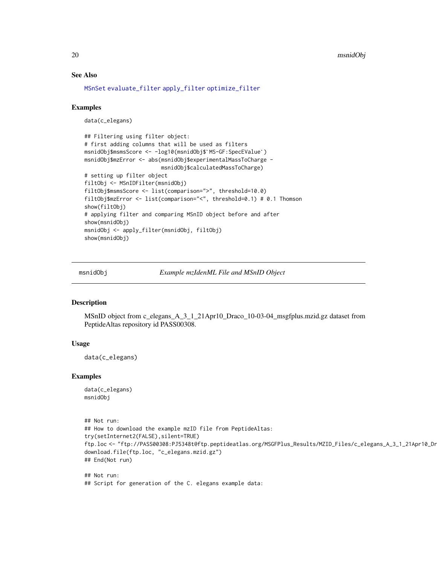# See Also

[MSnSet](#page-0-0) [evaluate\\_filter](#page-9-1) [apply\\_filter](#page-4-1) [optimize\\_filter](#page-20-1)

#### Examples

```
data(c_elegans)
```

```
## Filtering using filter object:
# first adding columns that will be used as filters
msnidObj$msmsScore <- -log10(msnidObj$`MS-GF:SpecEValue`)
msnidObj$mzError <- abs(msnidObj$experimentalMassToCharge -
                        msnidObj$calculatedMassToCharge)
# setting up filter object
filtObj <- MSnIDFilter(msnidObj)
filtObj$msmsScore <- list(comparison=">", threshold=10.0)
filtObj$mzError <- list(comparison="<", threshold=0.1) # 0.1 Thomson
show(filtObj)
# applying filter and comparing MSnID object before and after
show(msnidObj)
msnidObj <- apply_filter(msnidObj, filtObj)
show(msnidObj)
```
msnidObj *Example mzIdenML File and MSnID Object*

#### Description

MSnID object from c\_elegans\_A\_3\_1\_21Apr10\_Draco\_10-03-04\_msgfplus.mzid.gz dataset from PeptideAltas repository id PASS00308.

#### Usage

data(c\_elegans)

```
data(c_elegans)
msnidObj
```

```
## Not run:
## How to download the example mzID file from PeptideAltas:
try(setInternet2(FALSE),silent=TRUE)
ftp.loc <- "ftp://PASS00308:PJ5348t@ftp.peptideatlas.org/MSGFPlus_Results/MZID_Files/c_elegans_A_3_1_21Apr10_Dr
download.file(ftp.loc, "c_elegans.mzid.gz")
## End(Not run)
```

```
## Not run:
## Script for generation of the C. elegans example data:
```
<span id="page-19-0"></span>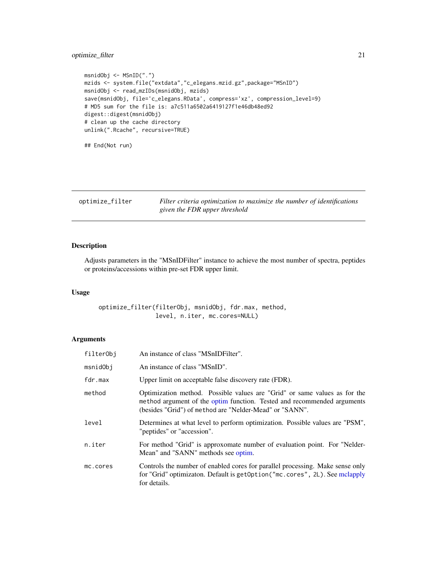# <span id="page-20-0"></span>optimize\_filter 21

```
msnidObj <- MSnID(".")
mzids <- system.file("extdata","c_elegans.mzid.gz",package="MSnID")
msnidObj <- read_mzIDs(msnidObj, mzids)
save(msnidObj, file='c_elegans.RData', compress='xz', compression_level=9)
# MD5 sum for the file is: a7c511a6502a6419127f1e46db48ed92
digest::digest(msnidObj)
# clean up the cache directory
unlink(".Rcache", recursive=TRUE)
```

```
## End(Not run)
```
<span id="page-20-1"></span>optimize\_filter *Filter criteria optimization to maximize the number of identifications given the FDR upper threshold*

# Description

Adjusts parameters in the "MSnIDFilter" instance to achieve the most number of spectra, peptides or proteins/accessions within pre-set FDR upper limit.

# Usage

optimize\_filter(filterObj, msnidObj, fdr.max, method, level, n.iter, mc.cores=NULL)

# Arguments

| filterObj | An instance of class "MSnIDFilter".                                                                                                                                                                             |
|-----------|-----------------------------------------------------------------------------------------------------------------------------------------------------------------------------------------------------------------|
| msnidObj  | An instance of class "MSnID".                                                                                                                                                                                   |
| fdr.max   | Upper limit on acceptable false discovery rate (FDR).                                                                                                                                                           |
| method    | Optimization method. Possible values are "Grid" or same values as for the<br>method argument of the optim function. Tested and recommended arguments<br>(besides "Grid") of method are "Nelder-Mead" or "SANN". |
| level     | Determines at what level to perform optimization. Possible values are "PSM",<br>"peptides" or "accession".                                                                                                      |
| n.iter    | For method "Grid" is approximate number of evaluation point. For "Nelder-<br>Mean" and "SANN" methods see optim.                                                                                                |
| mc.cores  | Controls the number of enabled cores for parallel processing. Make sense only<br>for "Grid" optimizaton. Default is getOption("mc.cores", 2L). See mclapply<br>for details.                                     |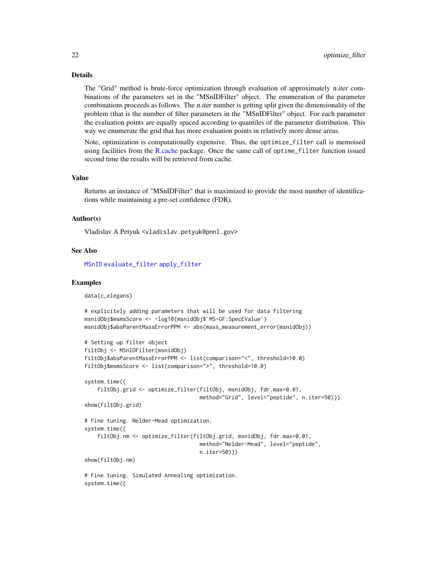#### <span id="page-21-0"></span>Details

The "Grid" method is brute-force optimization through evaluation of approximately n.iter combinations of the parameters set in the "MSnIDFilter" object. The enumeration of the parameter combinations proceeds as follows. The *n.iter* number is getting split given the dimensionality of the problem (that is the number of filter parameters in the "MSnIDFilter" object. For each parameter the evaluation points are equally spaced according to quantiles of the parameter distribution. This way we enumerate the grid that has more evaluation points in relatively more dense areas.

Note, optimization is computationally expensive. Thus, the optimize\_filter call is memoised using facilities from the [R.cache](#page-0-0) package. Once the same call of optime\_filter function issued second time the results will be retrieved from cache.

#### Value

Returns an instance of "MSnIDFilter" that is maximized to provide the most number of identifications while maintaining a pre-set confidence (FDR).

#### Author(s)

Vladislav A Petyuk <vladislav.petyuk@pnnl.gov>

#### See Also

[MSnID](#page-16-1) [evaluate\\_filter](#page-9-1) [apply\\_filter](#page-4-1)

#### Examples

data(c\_elegans)

```
# explicitely adding parameters that will be used for data filtering
msnidObj$msmsScore <- -log10(msnidObj$`MS-GF:SpecEValue`)
msnidObj$absParentMassErrorPPM <- abs(mass_measurement_error(msnidObj))
```

```
# Setting up filter object
filtObj <- MSnIDFilter(msnidObj)
filtObj$absParentMassErrorPPM <- list(comparison="<", threshold=10.0)
filtObj$msmsScore <- list(comparison=">", threshold=10.0)
system.time({
```

```
filtObj.grid <- optimize_filter(filtObj, msnidObj, fdr.max=0.01,
                                method="Grid", level="peptide", n.iter=50)})
```

```
show(filtObj.grid)
```

```
# Fine tuning. Nelder-Mead optimization.
system.time({
   filtObj.nm <- optimize_filter(filtObj.grid, msnidObj, fdr.max=0.01,
                                    method="Nelder-Mead", level="peptide",
                                    n.iter=50)})
show(filtObj.nm)
```
# Fine tuning. Simulated Annealing optimization. system.time({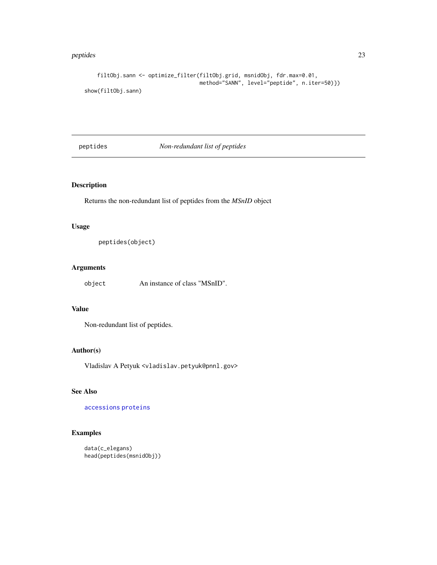#### <span id="page-22-0"></span>peptides 23

```
filtObj.sann <- optimize_filter(filtObj.grid, msnidObj, fdr.max=0.01,
                                   method="SANN", level="peptide", n.iter=50)})
show(filtObj.sann)
```
<span id="page-22-1"></span>peptides *Non-redundant list of peptides*

# Description

Returns the non-redundant list of peptides from the *MSnID* object

# Usage

peptides(object)

# Arguments

object An instance of class "MSnID".

# Value

Non-redundant list of peptides.

# Author(s)

Vladislav A Petyuk <vladislav.petyuk@pnnl.gov>

#### See Also

[accessions](#page-2-1) [proteins](#page-2-2)

```
data(c_elegans)
head(peptides(msnidObj))
```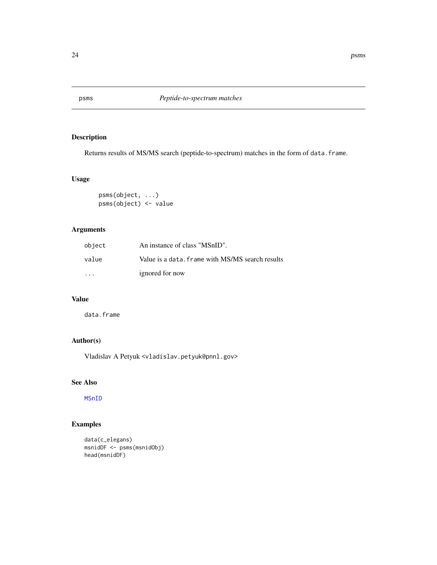<span id="page-23-1"></span><span id="page-23-0"></span>

# Description

Returns results of MS/MS search (peptide-to-spectrum) matches in the form of data.frame.

# Usage

psms(object, ...) psms(object) <- value

# Arguments

| object                  | An instance of class "MSnID".                    |
|-------------------------|--------------------------------------------------|
| value                   | Value is a data. frame with MS/MS search results |
| $\cdot$ $\cdot$ $\cdot$ | ignored for now                                  |

# Value

data.frame

# Author(s)

Vladislav A Petyuk <vladislav.petyuk@pnnl.gov>

# See Also

[MSnID](#page-16-1)

```
data(c_elegans)
msnidDF <- psms(msnidObj)
head(msnidDF)
```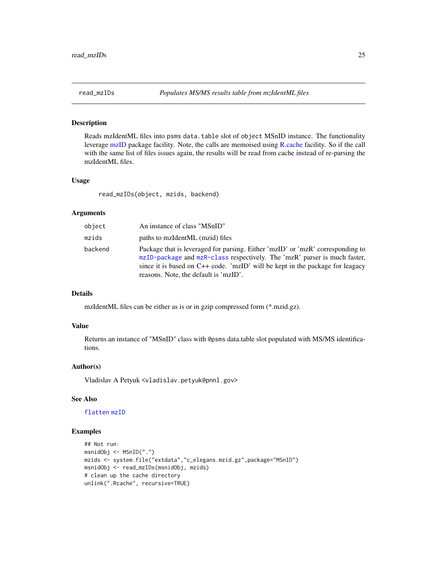<span id="page-24-1"></span><span id="page-24-0"></span>

# Description

Reads mzIdentML files into psms data.table slot of object MSnID instance. The functionality leverage [mzID](#page-0-0) package facility. Note, the calls are memoised using [R.cache](#page-0-0) facility. So if the call with the same list of files issues again, the results will be read from cache instead of re-parsing the mzIdentML files.

# Usage

read\_mzIDs(object, mzids, backend)

#### Arguments

| object  | An instance of class "MSnID"                                                                                                                                                                                                                                                         |
|---------|--------------------------------------------------------------------------------------------------------------------------------------------------------------------------------------------------------------------------------------------------------------------------------------|
| mzids   | paths to mzIdentML (mzid) files                                                                                                                                                                                                                                                      |
| backend | Package that is leveraged for parsing. Either 'mzID' or 'mzR' corresponding to<br>mzID-package and mzR-class respectively. The 'mzR' parser is much faster,<br>since it is based on C++ code. 'mzID' will be kept in the package for league<br>reasons. Note, the default is 'mzID'. |

#### Details

mzIdentML files can be either as is or in gzip compressed form (\*.mzid.gz).

#### Value

Returns an instance of "MSnID" class with @psms data.table slot populated with MS/MS identifications.

#### Author(s)

Vladislav A Petyuk <vladislav.petyuk@pnnl.gov>

# See Also

#### [flatten](#page-0-0) [mzID](#page-0-0)

```
## Not run:
msnidObj <- MSnID(".")
mzids <- system.file("extdata","c_elegans.mzid.gz",package="MSnID")
msnidObj <- read_mzIDs(msnidObj, mzids)
# clean up the cache directory
unlink(".Rcache", recursive=TRUE)
```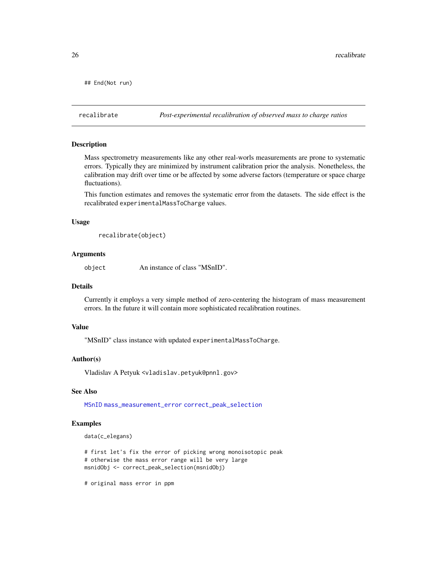<span id="page-25-0"></span>## End(Not run)

<span id="page-25-1"></span>recalibrate *Post-experimental recalibration of observed mass to charge ratios*

#### Description

Mass spectrometry measurements like any other real-worls measurements are prone to systematic errors. Typically they are minimized by instrument calibration prior the analysis. Nonetheless, the calibration may drift over time or be affected by some adverse factors (temperature or space charge fluctuations).

This function estimates and removes the systematic error from the datasets. The side effect is the recalibrated experimentalMassToCharge values.

#### Usage

recalibrate(object)

#### Arguments

object An instance of class "MSnID".

# Details

Currently it employs a very simple method of zero-centering the histogram of mass measurement errors. In the future it will contain more sophisticated recalibration routines.

### Value

"MSnID" class instance with updated experimentalMassToCharge.

#### Author(s)

Vladislav A Petyuk <vladislav.petyuk@pnnl.gov>

#### See Also

[MSnID](#page-16-1) [mass\\_measurement\\_error](#page-15-1) [correct\\_peak\\_selection](#page-7-1)

### Examples

data(c\_elegans)

# first let's fix the error of picking wrong monoisotopic peak # otherwise the mass error range will be very large msnidObj <- correct\_peak\_selection(msnidObj)

# original mass error in ppm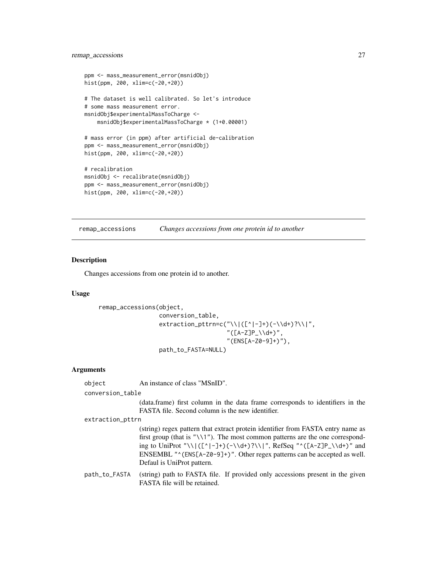# <span id="page-26-0"></span>remap\_accessions 27

```
ppm <- mass_measurement_error(msnidObj)
hist(ppm, 200, xlim=c(-20,+20))
# The dataset is well calibrated. So let's introduce
# some mass measurement error.
msnidObj$experimentalMassToCharge <-
   msnidObj$experimentalMassToCharge * (1+0.00001)
# mass error (in ppm) after artificial de-calibration
ppm <- mass_measurement_error(msnidObj)
hist(ppm, 200, xlim=c(-20,+20))
# recalibration
msnidObj <- recalibrate(msnidObj)
ppm <- mass_measurement_error(msnidObj)
hist(ppm, 200, xlim=c(-20,+20))
```
remap\_accessions *Changes accessions from one protein id to another*

#### **Description**

Changes accessions from one protein id to another.

#### Usage

```
remap_accessions(object,
                    conversion_table,
                    extraction_pttrn=c("\\|([^|-]+)(-\\d+)?\\|",
                                          "([A-Z]P_\backslash\backslash d+)",
                                          "(ENS[A-Z0-9]+)"),
                    path_to_FASTA=NULL)
```
#### Arguments

object An instance of class "MSnID".

conversion\_table

(data.frame) first column in the data frame corresponds to identifiers in the FASTA file. Second column is the new identifier.

extraction\_pttrn

(string) regex pattern that extract protein identifier from FASTA entry name as first group (that is "\\1"). The most common patterns are the one corresponding to UniProt "\\|( $[^{\wedge}|-]$ +)(-\\d+)?\\|", RefSeq " $^{\wedge}$ ( $[A-Z]P_{\wedge} \ddot{d}+$ )" and ENSEMBL "^(ENS[A-Z0-9]+)". Other regex patterns can be accepted as well. Defaul is UniProt pattern.

path\_to\_FASTA (string) path to FASTA file. If provided only accessions present in the given FASTA file will be retained.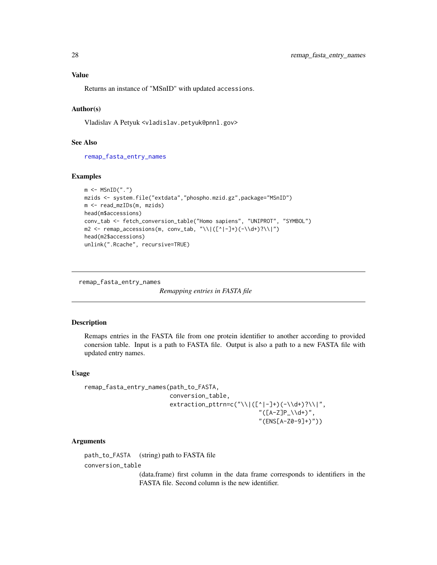# <span id="page-27-0"></span>Value

Returns an instance of "MSnID" with updated accessions.

#### Author(s)

Vladislav A Petyuk <vladislav.petyuk@pnnl.gov>

#### See Also

[remap\\_fasta\\_entry\\_names](#page-27-1)

#### Examples

```
m \leftarrow MSnID("."')mzids <- system.file("extdata","phospho.mzid.gz",package="MSnID")
m <- read_mzIDs(m, mzids)
head(m$accessions)
conv_tab <- fetch_conversion_table("Homo sapiens", "UNIPROT", "SYMBOL")
m2 \leq - remap_accessions(m, conv_tab, "\\|([^|-]+)(-\\d+)?\\|")
head(m2$accessions)
unlink(".Rcache", recursive=TRUE)
```
<span id="page-27-1"></span>remap\_fasta\_entry\_names

*Remapping entries in FASTA file*

# Description

Remaps entries in the FASTA file from one protein identifier to another according to provided conersion table. Input is a path to FASTA file. Output is also a path to a new FASTA file with updated entry names.

#### Usage

```
remap_fasta_entry_names(path_to_FASTA,
                         conversion_table,
                         extraction_pttrn=c("\\|([^|-]+)(-\\d+)?\\|",
                                                     "([A-Z]P_\lambda\ldots)","(ENS[A-Z0-9]+)"))
```
#### Arguments

path\_to\_FASTA (string) path to FASTA file

conversion\_table

(data.frame) first column in the data frame corresponds to identifiers in the FASTA file. Second column is the new identifier.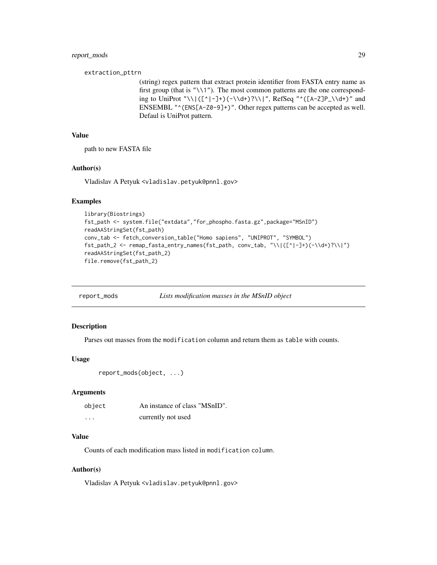# <span id="page-28-0"></span>report\_mods 29

extraction\_pttrn

(string) regex pattern that extract protein identifier from FASTA entry name as first group (that is "\\1"). The most common patterns are the one corresponding to UniProt "\\|([^|-]+)(-\\d+)?\\|", RefSeq "^([A-Z]P\_\\d+)" and ENSEMBL "^(ENS[A-Z0-9]+)". Other regex patterns can be accepted as well. Defaul is UniProt pattern.

#### Value

path to new FASTA file

# Author(s)

Vladislav A Petyuk <vladislav.petyuk@pnnl.gov>

#### Examples

```
library(Biostrings)
fst_path <- system.file("extdata","for_phospho.fasta.gz",package="MSnID")
readAAStringSet(fst_path)
conv_tab <- fetch_conversion_table("Homo sapiens", "UNIPROT", "SYMBOL")
fst\_path\_2 \leftarrow remap\_fasta\_entry\_names(fst\_path, conv\_tab, "\\|([^{-}]^+)(^-\\\d^+)?\\|")readAAStringSet(fst_path_2)
file.remove(fst_path_2)
```
<span id="page-28-1"></span>report\_mods *Lists modification masses in the MSnID object*

# Description

Parses out masses from the modification column and return them as table with counts.

#### Usage

```
report_mods(object, ...)
```
# Arguments

| object   | An instance of class "MSnID". |
|----------|-------------------------------|
| $\cdots$ | currently not used            |

# Value

Counts of each modification mass listed in modification column.

#### Author(s)

Vladislav A Petyuk <vladislav.petyuk@pnnl.gov>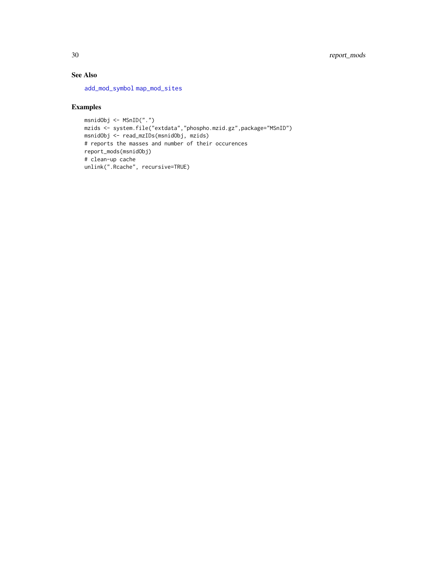# See Also

[add\\_mod\\_symbol](#page-3-1) [map\\_mod\\_sites](#page-13-1)

```
msnidObj <- MSnID(".")
mzids <- system.file("extdata","phospho.mzid.gz",package="MSnID")
msnidObj <- read_mzIDs(msnidObj, mzids)
# reports the masses and number of their occurences
report_mods(msnidObj)
# clean-up cache
unlink(".Rcache", recursive=TRUE)
```
<span id="page-29-0"></span>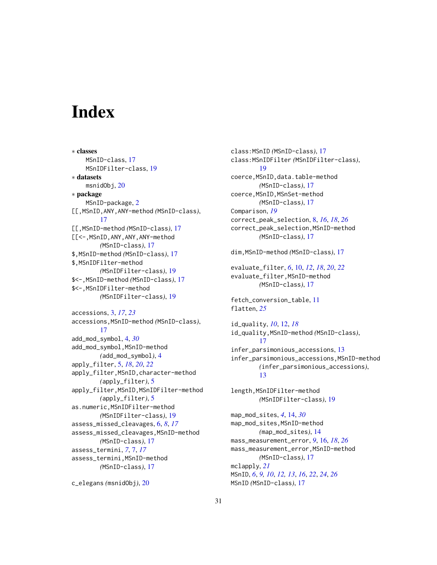# <span id="page-30-0"></span>**Index**

∗ classes MSnID-class, [17](#page-16-0) MSnIDFilter-class, [19](#page-18-0) ∗ datasets msnidObj, [20](#page-19-0) ∗ package MSnID-package, [2](#page-1-0) [[,MSnID,ANY,ANY-method *(*MSnID-class*)*, [17](#page-16-0) [[,MSnID-method *(*MSnID-class*)*, [17](#page-16-0) [[<-,MSnID,ANY,ANY,ANY-method *(*MSnID-class*)*, [17](#page-16-0) \$,MSnID-method *(*MSnID-class*)*, [17](#page-16-0) \$,MSnIDFilter-method *(*MSnIDFilter-class*)*, [19](#page-18-0) \$<-,MSnID-method *(*MSnID-class*)*, [17](#page-16-0) \$<-,MSnIDFilter-method *(*MSnIDFilter-class*)*, [19](#page-18-0) accessions, [3,](#page-2-0) *[17](#page-16-0)*, *[23](#page-22-0)* accessions,MSnID-method *(*MSnID-class*)*, [17](#page-16-0) add\_mod\_symbol, [4,](#page-3-0) *[30](#page-29-0)* add\_mod\_symbol,MSnID-method *(*add\_mod\_symbol*)*, [4](#page-3-0) apply\_filter, [5,](#page-4-0) *[18](#page-17-0)*, *[20](#page-19-0)*, *[22](#page-21-0)* apply\_filter,MSnID,character-method *(*apply\_filter*)*, [5](#page-4-0) apply\_filter,MSnID,MSnIDFilter-method *(*apply\_filter*)*, [5](#page-4-0) as.numeric,MSnIDFilter-method *(*MSnIDFilter-class*)*, [19](#page-18-0) assess\_missed\_cleavages, [6,](#page-5-0) *[8](#page-7-0)*, *[17](#page-16-0)* assess\_missed\_cleavages,MSnID-method *(*MSnID-class*)*, [17](#page-16-0) assess\_termini, *[7](#page-6-0)*, [7,](#page-6-0) *[17](#page-16-0)* assess\_termini,MSnID-method *(*MSnID-class*)*, [17](#page-16-0)

c\_elegans *(*msnidObj*)*, [20](#page-19-0)

class:MSnID *(*MSnID-class*)*, [17](#page-16-0) class:MSnIDFilter *(*MSnIDFilter-class*)*, [19](#page-18-0) coerce, MSnID, data.table-method *(*MSnID-class*)*, [17](#page-16-0) coerce,MSnID,MSnSet-method *(*MSnID-class*)*, [17](#page-16-0) Comparison, *[19](#page-18-0)* correct\_peak\_selection, [8,](#page-7-0) *[16](#page-15-0)*, *[18](#page-17-0)*, *[26](#page-25-0)* correct\_peak\_selection,MSnID-method *(*MSnID-class*)*, [17](#page-16-0) dim,MSnID-method *(*MSnID-class*)*, [17](#page-16-0) evaluate\_filter, *[6](#page-5-0)*, [10,](#page-9-0) *[12](#page-11-0)*, *[18](#page-17-0)*, *[20](#page-19-0)*, *[22](#page-21-0)* evaluate\_filter,MSnID-method *(*MSnID-class*)*, [17](#page-16-0) fetch\_conversion\_table, [11](#page-10-0) flatten, *[25](#page-24-0)* id\_quality, *[10](#page-9-0)*, [12,](#page-11-0) *[18](#page-17-0)* id\_quality,MSnID-method *(*MSnID-class*)*, [17](#page-16-0) infer\_parsimonious\_accessions, [13](#page-12-0) infer\_parsimonious\_accessions,MSnID-method *(*infer\_parsimonious\_accessions*)*, [13](#page-12-0) length,MSnIDFilter-method *(*MSnIDFilter-class*)*, [19](#page-18-0) map\_mod\_sites, *[4](#page-3-0)*, [14,](#page-13-0) *[30](#page-29-0)* map\_mod\_sites,MSnID-method *(*map\_mod\_sites*)*, [14](#page-13-0) mass\_measurement\_error, *[9](#page-8-0)*, [16,](#page-15-0) *[18](#page-17-0)*, *[26](#page-25-0)* mass\_measurement\_error,MSnID-method *(*MSnID-class*)*, [17](#page-16-0)

mclapply, *[21](#page-20-0)* MSnID, *[6](#page-5-0)*, *[9,](#page-8-0) [10](#page-9-0)*, *[12,](#page-11-0) [13](#page-12-0)*, *[16](#page-15-0)*, *[22](#page-21-0)*, *[24](#page-23-0)*, *[26](#page-25-0)* MSnID *(*MSnID-class*)*, [17](#page-16-0)